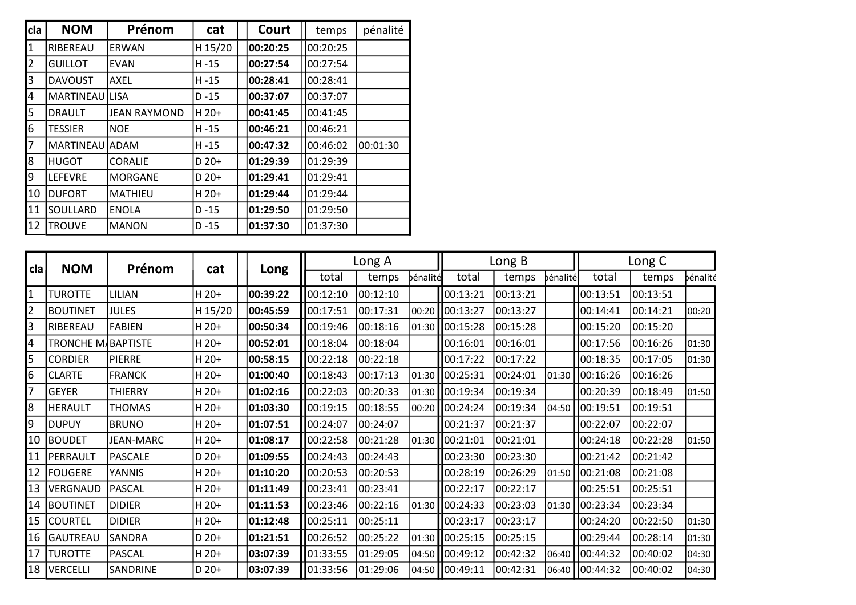| cla            | <b>NOM</b>      | Prénom              | cat      | Court    | temps    | pénalité |
|----------------|-----------------|---------------------|----------|----------|----------|----------|
| $\mathbf 1$    | <b>RIBEREAU</b> | ERWAN               | H 15/20  | 00:20:25 | 00:20:25 |          |
| $\overline{2}$ | <b>GUILLOT</b>  | <b>EVAN</b>         | $H - 15$ | 00:27:54 | 00:27:54 |          |
| 3              | DAVOUST         | AXEL                | $H - 15$ | 00:28:41 | 00:28:41 |          |
| 4              | MARTINEAU       | <b>LISA</b>         | $D - 15$ | 00:37:07 | 00:37:07 |          |
| 5              | DRAULT          | <b>JEAN RAYMOND</b> | $H$ 20+  | 00:41:45 | 00:41:45 |          |
| 6              | <b>TESSIER</b>  | <b>NOE</b>          | $H - 15$ | 00:46:21 | 00:46:21 |          |
| 7              | MARTINEAU       | <b>ADAM</b>         | $H - 15$ | 00:47:32 | 00:46:02 | 00:01:30 |
| 8              | HUGOT           | <b>CORALIE</b>      | $D 20+$  | 01:29:39 | 01:29:39 |          |
| 9              | <b>LEFEVRE</b>  | <b>MORGANE</b>      | $D 20+$  | 01:29:41 | 01:29:41 |          |
| 10             | <b>DUFORT</b>   | <b>MATHIEU</b>      | $H$ 20+  | 01:29:44 | 01:29:44 |          |
| 11             | SOULLARD        | <b>ENOLA</b>        | $D - 15$ | 01:29:50 | 01:29:50 |          |
| 12             | <b>TROUVE</b>   | <b>MANON</b>        | $D - 15$ | 01:37:30 | 01:37:30 |          |

| cla             | <b>NOM</b>         | Prénom         |         |          | Long A   |          |          |                | Long B   |          | Long C   |          |          |
|-----------------|--------------------|----------------|---------|----------|----------|----------|----------|----------------|----------|----------|----------|----------|----------|
|                 |                    |                | cat     | Long     | total    | temps    | bénalité | total          | temps    | bénalité | total    | temps    | bénalité |
| $\mathbf{1}$    | <b>TUROTTE</b>     | LILIAN         | $H$ 20+ | 00:39:22 | 00:12:10 | 00:12:10 |          | 00:13:21       | 00:13:21 |          | 00:13:51 | 00:13:51 |          |
| $\overline{2}$  | <b>BOUTINET</b>    | <b>JULES</b>   | H 15/20 | 00:45:59 | 00:17:51 | 00:17:31 |          | 00:20 00:13:27 | 00:13:27 |          | 00:14:41 | 00:14:21 | 00:20    |
| 3               | RIBEREAU           | <b>FABIEN</b>  | $H$ 20+ | 00:50:34 | 00:19:46 | 00:18:16 |          | 01:30 00:15:28 | 00:15:28 |          | 00:15:20 | 00:15:20 |          |
| 4               | TRONCHE M∤BAPTISTE |                | $H 20+$ | 00:52:01 | 00:18:04 | 00:18:04 |          | 00:16:01       | 00:16:01 |          | 00:17:56 | 00:16:26 | 01:30    |
| 5               | <b>CORDIER</b>     | <b>PIERRE</b>  | $H$ 20+ | 00:58:15 | 00:22:18 | 00:22:18 |          | 00:17:22       | 00:17:22 |          | 00:18:35 | 00:17:05 | 01:30    |
| $6\overline{6}$ | <b>CLARTE</b>      | <b>FRANCK</b>  | $H$ 20+ | 01:00:40 | 00:18:43 | 00:17:13 |          | 01:30 00:25:31 | 00:24:01 | 01:30    | 00:16:26 | 00:16:26 |          |
| 7               | <b>GEYER</b>       | <b>THIERRY</b> | $H 20+$ | 01:02:16 | 00:22:03 | 00:20:33 |          | 01:30 00:19:34 | 00:19:34 |          | 00:20:39 | 00:18:49 | 01:50    |
| 8               | <b>HERAULT</b>     | <b>THOMAS</b>  | $H 20+$ | 01:03:30 | 00:19:15 | 00:18:55 |          | 00:20 00:24:24 | 00:19:34 | 04:50    | 00:19:51 | 00:19:51 |          |
| 9               | <b>DUPUY</b>       | <b>BRUNO</b>   | $H$ 20+ | 01:07:51 | 00:24:07 | 00:24:07 |          | 00:21:37       | 00:21:37 |          | 00:22:07 | 00:22:07 |          |
| 10              | <b>BOUDET</b>      | JEAN-MARC      | $H$ 20+ | 01:08:17 | 00:22:58 | 00:21:28 |          | 01:30 00:21:01 | 00:21:01 |          | 00:24:18 | 00:22:28 | 01:50    |
| 11              | PERRAULT           | <b>PASCALE</b> | D 20+   | 01:09:55 | 00:24:43 | 00:24:43 |          | 00:23:30       | 00:23:30 |          | 00:21:42 | 00:21:42 |          |
| 12              | <b>FOUGERE</b>     | YANNIS         | $H$ 20+ | 01:10:20 | 00:20:53 | 00:20:53 |          | 00:28:19       | 00:26:29 | 01:50    | 00:21:08 | 00:21:08 |          |
| 13              | VERGNAUD           | PASCAL         | $H$ 20+ | 01:11:49 | 00:23:41 | 00:23:41 |          | 00:22:17       | 00:22:17 |          | 00:25:51 | 00:25:51 |          |
| 14              | <b>BOUTINET</b>    | <b>DIDIER</b>  | $H$ 20+ | 01:11:53 | 00:23:46 | 00:22:16 |          | 01:30 00:24:33 | 00:23:03 | 01:30    | 00:23:34 | 00:23:34 |          |
| 15              | <b>COURTEL</b>     | <b>DIDIER</b>  | $H$ 20+ | 01:12:48 | 00:25:11 | 00:25:11 |          | 00:23:17       | 00:23:17 |          | 00:24:20 | 00:22:50 | 01:30    |
| 16              | <b>GAUTREAU</b>    | SANDRA         | D 20+   | 01:21:51 | 00:26:52 | 00:25:22 |          | 01:30 00:25:15 | 00:25:15 |          | 00:29:44 | 00:28:14 | 01:30    |
| 17              | <b>TUROTTE</b>     | <b>PASCAL</b>  | $H$ 20+ | 03:07:39 | 01:33:55 | 01:29:05 |          | 04:50 00:49:12 | 00:42:32 | 06:40    | 00:44:32 | 00:40:02 | 04:30    |
| 18              | <b>VERCELLI</b>    | SANDRINE       | D 20+   | 03:07:39 | 01:33:56 | 01:29:06 |          | 04:50 00:49:11 | 00:42:31 | 06:40    | 00:44:32 | 00:40:02 | 04:30    |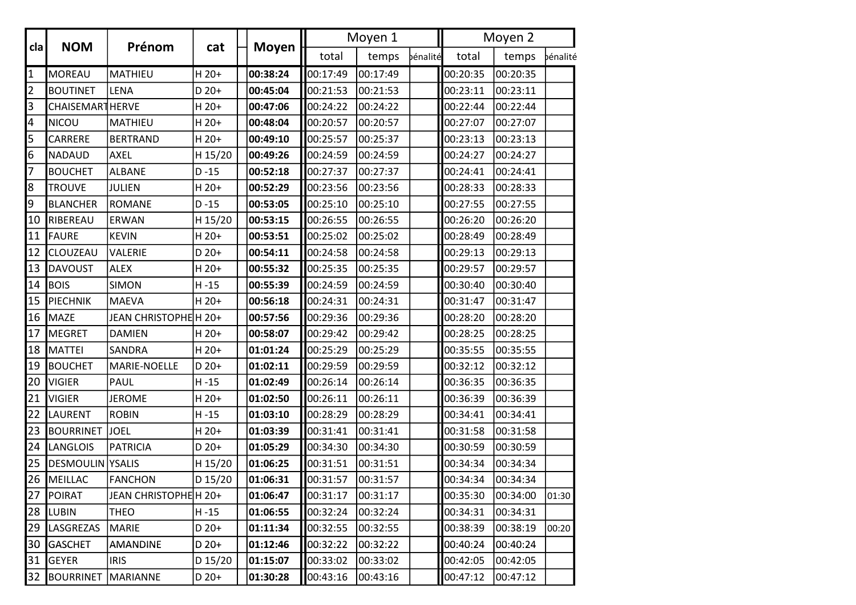|                |                        |                       |          |              | Moyen 1  |          |          | Moyen 2  |                    |          |  |
|----------------|------------------------|-----------------------|----------|--------------|----------|----------|----------|----------|--------------------|----------|--|
| cla            | <b>NOM</b>             | Prénom                | cat      | <b>Moyen</b> | total    | temps    | bénalité | total    | temps              | pénalité |  |
| $\mathbf{1}$   | MOREAU                 | <b>MATHIEU</b>        | $H$ 20+  | 00:38:24     | 00:17:49 | 00:17:49 |          | 00:20:35 | 00:20:35           |          |  |
| $\overline{2}$ | <b>BOUTINET</b>        | LENA                  | $D 20+$  | 00:45:04     | 00:21:53 | 00:21:53 |          | 00:23:11 | 00:23:11           |          |  |
| 3              | <b>CHAISEMARTHERVE</b> |                       | H 20+    | 00:47:06     | 00:24:22 | 00:24:22 |          | 00:22:44 | 00:22:44           |          |  |
| 4              | NICOU                  | <b>MATHIEU</b>        | $H$ 20+  | 00:48:04     | 00:20:57 | 00:20:57 |          | 00:27:07 | 00:27:07           |          |  |
| 5              | CARRERE                | <b>BERTRAND</b>       | $H 20+$  | 00:49:10     | 00:25:57 | 00:25:37 |          | 00:23:13 | 00:23:13           |          |  |
| 6              | <b>NADAUD</b>          | <b>AXEL</b>           | H 15/20  | 00:49:26     | 00:24:59 | 00:24:59 |          | 00:24:27 | 00:24:27           |          |  |
| 7              | <b>BOUCHET</b>         | <b>ALBANE</b>         | $D - 15$ | 00:52:18     | 00:27:37 | 00:27:37 |          | 00:24:41 | 00:24:41           |          |  |
| 8              | <b>TROUVE</b>          | <b>JULIEN</b>         | $H$ 20+  | 00:52:29     | 00:23:56 | 00:23:56 |          | 00:28:33 | 00:28:33           |          |  |
| 9              | <b>BLANCHER</b>        | <b>ROMANE</b>         | $D - 15$ | 00:53:05     | 00:25:10 | 00:25:10 |          | 00:27:55 | 00:27:55           |          |  |
| 10             | RIBEREAU               | <b>ERWAN</b>          | H 15/20  | 00:53:15     | 00:26:55 | 00:26:55 |          | 00:26:20 | 00:26:20           |          |  |
| 11             | <b>FAURE</b>           | <b>KEVIN</b>          | $H$ 20+  | 00:53:51     | 00:25:02 | 00:25:02 |          | 00:28:49 | 00:28:49           |          |  |
| 12             | CLOUZEAU               | VALERIE               | $D 20+$  | 00:54:11     | 00:24:58 | 00:24:58 |          | 00:29:13 | 00:29:13           |          |  |
| 13             | <b>DAVOUST</b>         | <b>ALEX</b>           | H 20+    | 00:55:32     | 00:25:35 | 00:25:35 |          | 00:29:57 | 00:29:57           |          |  |
| 14             | <b>BOIS</b>            | <b>SIMON</b>          | $H - 15$ | 00:55:39     | 00:24:59 | 00:24:59 |          | 00:30:40 | 00:30:40           |          |  |
| 15             | <b>PIECHNIK</b>        | <b>MAEVA</b>          | $H$ 20+  | 00:56:18     | 00:24:31 | 00:24:31 |          | 00:31:47 | 00:31:47           |          |  |
| 16             | <b>MAZE</b>            | JEAN CHRISTOPHE H 20+ |          | 00:57:56     | 00:29:36 | 00:29:36 |          | 00:28:20 | 00:28:20           |          |  |
| 17             | <b>MEGRET</b>          | <b>DAMIEN</b>         | H 20+    | 00:58:07     | 00:29:42 | 00:29:42 |          | 00:28:25 | 00:28:25           |          |  |
| 18             | <b>MATTEI</b>          | SANDRA                | $H$ 20+  | 01:01:24     | 00:25:29 | 00:25:29 |          | 00:35:55 | 00:35:55           |          |  |
| 19             | <b>BOUCHET</b>         | MARIE-NOELLE          | $D 20+$  | 01:02:11     | 00:29:59 | 00:29:59 |          | 00:32:12 | 00:32:12           |          |  |
| 20             | <b>VIGIER</b>          | PAUL                  | $H - 15$ | 01:02:49     | 00:26:14 | 00:26:14 |          | 00:36:35 | 00:36:35           |          |  |
| 21             | <b>VIGIER</b>          | <b>JEROME</b>         | $H 20+$  | 01:02:50     | 00:26:11 | 00:26:11 |          | 00:36:39 | 00:36:39           |          |  |
| 22             | <b>LAURENT</b>         | <b>ROBIN</b>          | $H - 15$ | 01:03:10     | 00:28:29 | 00:28:29 |          | 00:34:41 | 00:34:41           |          |  |
| 23             | <b>BOURRINET</b>       | <b>JOEL</b>           | H 20+    | 01:03:39     | 00:31:41 | 00:31:41 |          | 00:31:58 | 00:31:58           |          |  |
| 24             | <b>LANGLOIS</b>        | <b>PATRICIA</b>       | D 20+    | 01:05:29     | 00:34:30 | 00:34:30 |          | 00:30:59 | 00:30:59           |          |  |
| 25             | DESMOULIN YSALIS       |                       | H 15/20  | 01:06:25     | 00:31:51 | 00:31:51 |          | 00:34:34 | 00:34:34           |          |  |
|                | 26 MEILLAC             | FANCHON               | D 15/20  | 01:06:31     | 00:31:57 | 00:31:57 |          | 00:34:34 | 00:34:34           |          |  |
|                | 27 POIRAT              | JEAN CHRISTOPHE H 20+ |          | 01:06:47     | 00:31:17 | 00:31:17 |          | 00:35:30 | 00:34:00           | 01:30    |  |
|                | 28 LUBIN               | <b>THEO</b>           | $H - 15$ | 01:06:55     | 00:32:24 | 00:32:24 |          | 00:34:31 | 00:34:31           |          |  |
|                | 29  LASGREZAS          | MARIE                 | D 20+    | 01:11:34     | 00:32:55 | 00:32:55 |          | 00:38:39 | 00:38:19           | 00:20    |  |
|                | 30 GASCHET             | AMANDINE              | D 20+    | 01:12:46     | 00:32:22 | 00:32:22 |          | 00:40:24 | 00:40:24           |          |  |
|                | 31 GEYER               | <b>IRIS</b>           | D 15/20  | 01:15:07     | 00:33:02 | 00:33:02 |          | 00:42:05 | 00:42:05           |          |  |
|                | 32 BOURRINET           | MARIANNE              | D 20+    | 01:30:28     | 00:43:16 | 00:43:16 |          | 00:47:12 | $ 00:47:12\rangle$ |          |  |